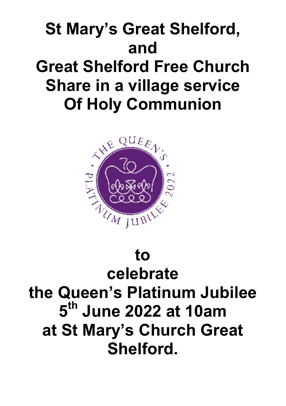## St Mary's Great Shelford, and Great Shelford Free Church Share in a village service Of Holy Communion



## to celebrate

# the Queen's Platinum Jubilee 5<sup>th</sup> June 2022 at 10am at St Mary's Church Great Shelford.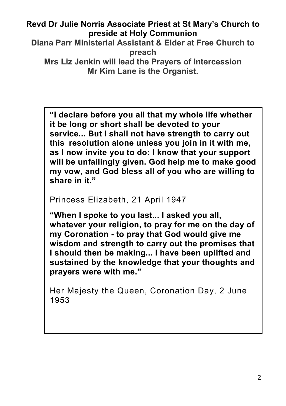#### Revd Dr Julie Norris Associate Priest at St Mary's Church to preside at Holy Communion

Diana Parr Ministerial Assistant & Elder at Free Church to preach Mrs Liz Jenkin will lead the Prayers of Intercession

Mr Kim Lane is the Organist.

"I declare before you all that my whole life whether it be long or short shall be devoted to your service... But I shall not have strength to carry out this resolution alone unless you join in it with me, as I now invite you to do: I know that your support will be unfailingly given. God help me to make good my vow, and God bless all of you who are willing to share in it."

Princess Elizabeth, 21 April 1947

"When I spoke to you last... I asked you all, whatever your religion, to pray for me on the day of my Coronation - to pray that God would give me wisdom and strength to carry out the promises that I should then be making... I have been uplifted and sustained by the knowledge that your thoughts and prayers were with me."

Her Majesty the Queen, Coronation Day, 2 June 1953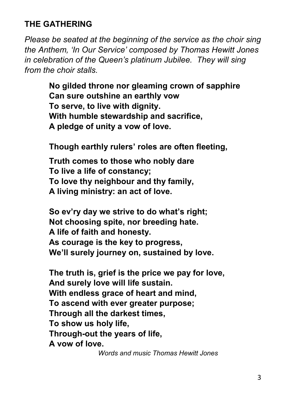## THE GATHERING

*Please be seated at the beginning of the service as the choir sing the Anthem, 'In Our Service' composed by Thomas Hewitt Jones in celebration of the Queen's platinum Jubilee. They will sing from the choir stalls.*

> No gilded throne nor gleaming crown of sapphire Can sure outshine an earthly vow To serve, to live with dignity. With humble stewardship and sacrifice, A pledge of unity a vow of love.

Though earthly rulers' roles are often fleeting,

Truth comes to those who nobly dare To live a life of constancy; To love thy neighbour and thy family, A living ministry: an act of love.

So ev'ry day we strive to do what's right; Not choosing spite, nor breeding hate. A life of faith and honesty. As courage is the key to progress, We'll surely journey on, sustained by love.

The truth is, grief is the price we pay for love, And surely love will life sustain. With endless grace of heart and mind, To ascend with ever greater purpose: Through all the darkest times, To show us holy life, Through-out the years of life, A vow of love.

*Words and music Thomas Hewitt Jones*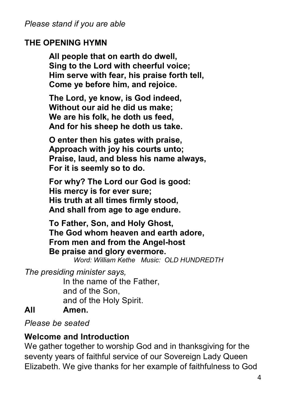#### THE OPENING HYMN

All people that on earth do dwell, Sing to the Lord with cheerful voice; Him serve with fear, his praise forth tell, Come ye before him, and rejoice.

The Lord, ye know, is God indeed, Without our aid he did us make; We are his folk, he doth us feed, And for his sheep he doth us take.

O enter then his gates with praise, Approach with joy his courts unto; Praise, laud, and bless his name always, For it is seemly so to do.

For why? The Lord our God is good: His mercy is for ever sure; His truth at all times firmly stood, And shall from age to age endure.

To Father, Son, and Holy Ghost, The God whom heaven and earth adore, From men and from the Angel-host Be praise and glory evermore.

*Word: William Kethe Music: OLD HUNDREDTH* 

*The presiding minister says,*

In the name of the Father, and of the Son, and of the Holy Spirit. All Amen.

*Please be seated*

## Welcome and Introduction

We gather together to worship God and in thanksgiving for the seventy years of faithful service of our Sovereign Lady Queen Elizabeth. We give thanks for her example of faithfulness to God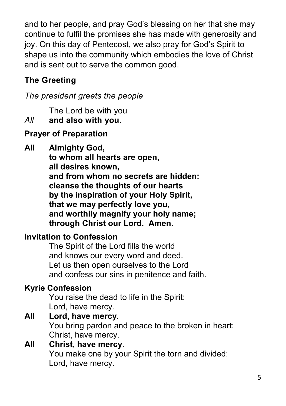and to her people, and pray God's blessing on her that she may continue to fulfil the promises she has made with generosity and joy. On this day of Pentecost, we also pray for God's Spirit to shape us into the community which embodies the love of Christ and is sent out to serve the common good.

## The Greeting

*The president greets the people*

The Lord be with you

*All* and also with you.

## Prayer of Preparation

All Almighty God, to whom all hearts are open, all desires known, and from whom no secrets are hidden: cleanse the thoughts of our hearts by the inspiration of your Holy Spirit, that we may perfectly love you, and worthily magnify your holy name; through Christ our Lord. Amen.

## Invitation to Confession

The Spirit of the Lord fills the world and knows our every word and deed. Let us then open ourselves to the Lord and confess our sins in penitence and faith.

## Kyrie Confession

You raise the dead to life in the Spirit: Lord, have mercy.

#### All Lord, have mercy. You bring pardon and peace to the broken in heart: Christ, have mercy.

All Christ, have mercy. You make one by your Spirit the torn and divided: Lord, have mercy.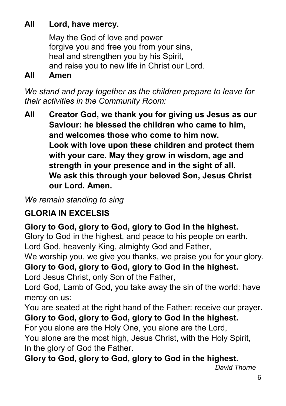## All Lord, have mercy.

May the God of love and power forgive you and free you from your sins. heal and strengthen you by his Spirit, and raise you to new life in Christ our Lord.

#### All Amen

*We stand and pray together as the children prepare to leave for their activities in the Community Room:*

All Creator God, we thank you for giving us Jesus as our Saviour: he blessed the children who came to him, and welcomes those who come to him now. Look with love upon these children and protect them with your care. May they grow in wisdom, age and strength in your presence and in the sight of all. We ask this through your beloved Son, Jesus Christ our Lord. Amen.

*We remain standing to sing*

## GLORIA IN EXCELSIS

## Glory to God, glory to God, glory to God in the highest.

Glory to God in the highest, and peace to his people on earth. Lord God, heavenly King, almighty God and Father,

We worship you, we give you thanks, we praise you for your glory. Glory to God, glory to God, glory to God in the highest.

Lord Jesus Christ, only Son of the Father,

Lord God, Lamb of God, you take away the sin of the world: have mercy on us:

You are seated at the right hand of the Father: receive our prayer. Glory to God, glory to God, glory to God in the highest.

For you alone are the Holy One, you alone are the Lord, You alone are the most high, Jesus Christ, with the Holy Spirit, In the glory of God the Father.

Glory to God, glory to God, glory to God in the highest.

```
 David Thorne
```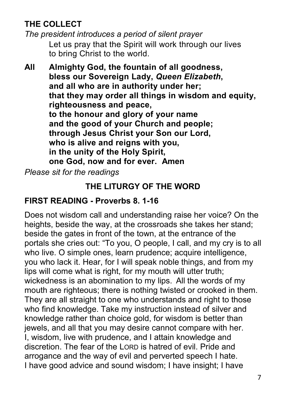## THE COLLECT

*The president introduces a period of silent prayer* Let us pray that the Spirit will work through our lives to bring Christ to the world.

All Almighty God, the fountain of all goodness, bless our Sovereign Lady, *Queen Elizabeth*, and all who are in authority under her; that they may order all things in wisdom and equity. righteousness and peace, to the honour and glory of your name and the good of your Church and people; through Jesus Christ your Son our Lord, who is alive and reigns with you, in the unity of the Holy Spirit, one God, now and for ever. Amen

*Please sit for the readings*

## THE LITURGY OF THE WORD

## FIRST READING - Proverbs 8. 1-16

Does not wisdom call and understanding raise her voice? On the heights, beside the way, at the crossroads she takes her stand; beside the gates in front of the town, at the entrance of the portals she cries out: "To you, O people, I call, and my cry is to all who live. O simple ones, learn prudence; acquire intelligence, you who lack it. Hear, for I will speak noble things, and from my lips will come what is right, for my mouth will utter truth; wickedness is an abomination to my lips. All the words of my mouth are righteous; there is nothing twisted or crooked in them. They are all straight to one who understands and right to those who find knowledge. Take my instruction instead of silver and knowledge rather than choice gold, for wisdom is better than jewels, and all that you may desire cannot compare with her. I, wisdom, live with prudence, and I attain knowledge and discretion. The fear of the LORD is hatred of evil. Pride and arrogance and the way of evil and perverted speech I hate. I have good advice and sound wisdom; I have insight; I have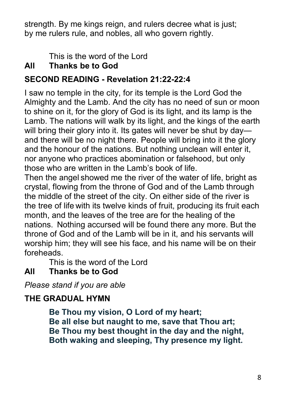strength. By me kings reign, and rulers decree what is just; by me rulers rule, and nobles, all who govern rightly.

This is the word of the Lord

## All Thanks be to God

## SECOND READING - Revelation 21:22-22:4

I saw no temple in the city, for its temple is the Lord God the Almighty and the Lamb. And the city has no need of sun or moon to shine on it, for the glory of God is its light, and its lamp is the Lamb. The nations will walk by its light, and the kings of the earth will bring their glory into it. Its gates will never be shut by day and there will be no night there. People will bring into it the glory and the honour of the nations. But nothing unclean will enter it, nor anyone who practices abomination or falsehood, but only those who are written in the Lamb's book of life.

Then the angel showed me the river of the water of life, bright as crystal, flowing from the throne of God and of the Lamb through the middle of the street of the city. On either side of the river is the tree of life with its twelve kinds of fruit, producing its fruit each month, and the leaves of the tree are for the healing of the nations. Nothing accursed will be found there any more. But the throne of God and of the Lamb will be in it, and his servants will worship him; they will see his face, and his name will be on their foreheads.

This is the word of the Lord

## All Thanks be to God

*Please stand if you are able*

## THE GRADUAL HYMN

Be Thou my vision, O Lord of my heart; Be all else but naught to me, save that Thou art; Be Thou my best thought in the day and the night, Both waking and sleeping, Thy presence my light.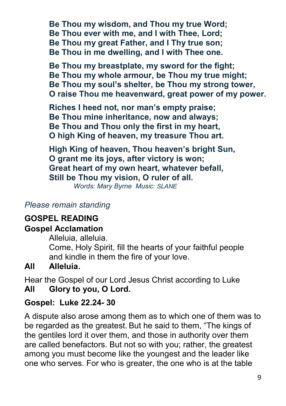Be Thou my wisdom, and Thou my true Word; Be Thou ever with me, and I with Thee, Lord; Be Thou my great Father, and I Thy true son; Be Thou in me dwelling, and I with Thee one.

Be Thou my breastplate, my sword for the fight; Be Thou my whole armour, be Thou my true might; Be Thou my soul's shelter, be Thou my strong tower, O raise Thou me heavenward, great power of my power.

Riches I heed not, nor man's empty praise; Be Thou mine inheritance, now and always; Be Thou and Thou only the first in my heart, O high King of heaven, my treasure Thou art.

High King of heaven, Thou heaven's bright Sun, O grant me its joys, after victory is won; Great heart of my own heart, whatever befall, Still be Thou my vision, O ruler of all.

*Words: Mary Byrne Music: SLANE*

#### *Please remain standing*

#### GOSPEL READING

#### Gospel Acclamation

Alleluia, alleluia.

Come, Holy Spirit, fill the hearts of your faithful people and kindle in them the fire of your love.

#### All Alleluia.

Hear the Gospel of our Lord Jesus Christ according to Luke All Glory to you, O Lord.

#### Gospel: Luke 22.24- 30

A dispute also arose among them as to which one of them was to be regarded as the greatest. But he said to them, "The kings of the gentiles lord it over them, and those in authority over them are called benefactors. But not so with you; rather, the greatest among you must become like the youngest and the leader like one who serves. For who is greater, the one who is at the table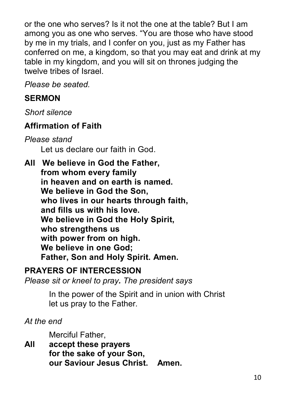or the one who serves? Is it not the one at the table? But I am among you as one who serves. "You are those who have stood by me in my trials, and I confer on you, just as my Father has conferred on me, a kingdom, so that you may eat and drink at my table in my kingdom, and you will sit on thrones judging the twelve tribes of Israel.

*Please be seated.*

#### **SERMON**

*Short silence*

## Affirmation of Faith

*Please stand* Let us declare our faith in God.

AllWe believe in God the Father, from whom every family in heaven and on earth is named. We believe in God the Son, who lives in our hearts through faith. and fills us with his love. We believe in God the Holy Spirit, who strengthens us with power from on high. We believe in one God; Father, Son and Holy Spirit. Amen.

#### PRAYERS OF INTERCESSION

*Please sit or kneel to pray. The president says*

In the power of the Spirit and in union with Christ let us pray to the Father.

*At the end*

Merciful Father,

All accept these prayers for the sake of your Son, our Saviour Jesus Christ. Amen.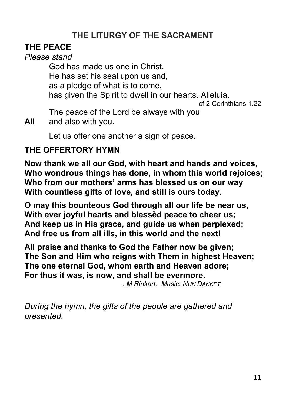## THE LITURGY OF THE SACRAMENT

## THE PEACE

#### *Please stand*

God has made us one in Christ. He has set his seal upon us and, as a pledge of what is to come, has given the Spirit to dwell in our hearts. Alleluia. cf 2 Corinthians 1.22

The peace of the Lord be always with you

All and also with you.

Let us offer one another a sign of peace.

#### THE OFFERTORY HYMN

Now thank we all our God, with heart and hands and voices, Who wondrous things has done, in whom this world rejoices; Who from our mothers' arms has blessed us on our way With countless gifts of love, and still is ours today.

O may this bounteous God through all our life be near us, With ever joyful hearts and blessèd peace to cheer us; And keep us in His grace, and guide us when perplexed; And free us from all ills, in this world and the next!

All praise and thanks to God the Father now be given; The Son and Him who reigns with Them in highest Heaven; The one eternal God, whom earth and Heaven adore; For thus it was, is now, and shall be evermore.

*: M Rinkart. Music: NUN DANKET*

*During the hymn, the gifts of the people are gathered and presented.*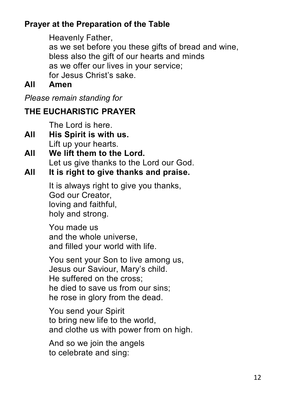## Prayer at the Preparation of the Table

Heavenly Father, as we set before you these gifts of bread and wine, bless also the gift of our hearts and minds as we offer our lives in your service; for Jesus Christ's sake.

All Amen

*Please remain standing for*

## THE EUCHARISTIC PRAYER

The Lord is here.

- All His Spirit is with us. Lift up your hearts.
- All We lift them to the Lord. Let us give thanks to the Lord our God.
- All It is right to give thanks and praise.

It is always right to give you thanks, God our Creator, loving and faithful, holy and strong.

You made us and the whole universe, and filled your world with life.

You sent your Son to live among us, Jesus our Saviour, Mary's child. He suffered on the cross; he died to save us from our sins; he rose in glory from the dead.

You send your Spirit to bring new life to the world, and clothe us with power from on high.

And so we join the angels to celebrate and sing: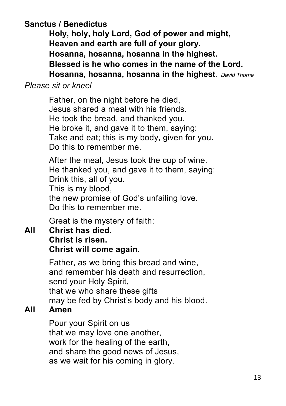#### Sanctus / Benedictus

Holy, holy, holy Lord, God of power and might, Heaven and earth are full of your glory. Hosanna, hosanna, hosanna in the highest. Blessed is he who comes in the name of the Lord. Hosanna, hosanna, hosanna in the highest. *David Thorne*

#### *Please sit or kneel*

Father, on the night before he died, Jesus shared a meal with his friends. He took the bread, and thanked you. He broke it, and gave it to them, saying: Take and eat; this is my body, given for you. Do this to remember me.

After the meal, Jesus took the cup of wine. He thanked you, and gave it to them, saying: Drink this, all of you. This is my blood, the new promise of God's unfailing love. Do this to remember me.

Great is the mystery of faith:

#### All Christ has died. Christ is risen. Christ will come again.

Father, as we bring this bread and wine, and remember his death and resurrection, send your Holy Spirit, that we who share these gifts may be fed by Christ's body and his blood.

#### All Amen

Pour your Spirit on us that we may love one another, work for the healing of the earth, and share the good news of Jesus, as we wait for his coming in glory.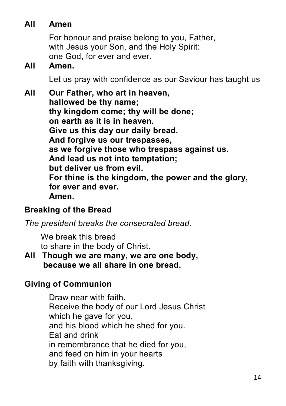### All Amen

For honour and praise belong to you, Father, with Jesus your Son, and the Holy Spirit: one God, for ever and ever.

#### All Amen.

Let us pray with confidence as our Saviour has taught us

All Our Father, who art in heaven, hallowed be thy name; thy kingdom come; thy will be done; on earth as it is in heaven. Give us this day our daily bread. And forgive us our trespasses, as we forgive those who trespass against us. And lead us not into temptation; but deliver us from evil. For thine is the kingdom, the power and the glory, for ever and ever. Amen.

#### Breaking of the Bread

*The president breaks the consecrated bread.*

We break this bread to share in the body of Christ.

All Though we are many, we are one body, because we all share in one bread.

## Giving of Communion

Draw near with faith. Receive the body of our Lord Jesus Christ which he gave for you, and his blood which he shed for you. Eat and drink in remembrance that he died for you, and feed on him in your hearts by faith with thanksgiving.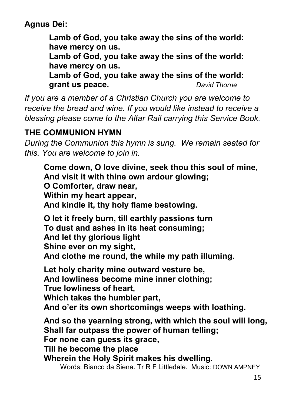Agnus Dei:

Lamb of God, you take away the sins of the world: have mercy on us.

Lamb of God, you take away the sins of the world: have mercy on us.

Lamb of God, you take away the sins of the world: grant us peace. *David Thorne*

*If you are a member of a Christian Church you are welcome to receive the bread and wine. If you would like instead to receive a blessing please come to the Altar Rail carrying this Service Book.*

## THE COMMUNION HYMN

*During the Communion this hymn is sung. We remain seated for this. You are welcome to join in.*

Come down, O love divine, seek thou this soul of mine, And visit it with thine own ardour glowing; O Comforter, draw near, Within my heart appear, And kindle it, thy holy flame bestowing.

O let it freely burn, till earthly passions turn To dust and ashes in its heat consuming; And let thy glorious light Shine ever on my sight, And clothe me round, the while my path illuming.

Let holy charity mine outward vesture be, And lowliness become mine inner clothing; True lowliness of heart, Which takes the humbler part, And o'er its own shortcomings weeps with loathing.

And so the yearning strong, with which the soul will long, Shall far outpass the power of human telling; For none can guess its grace, Till he become the place

Wherein the Holy Spirit makes his dwelling.

Words: Bianco da Siena. Tr R F Littledale. Music: DOWN AMPNEY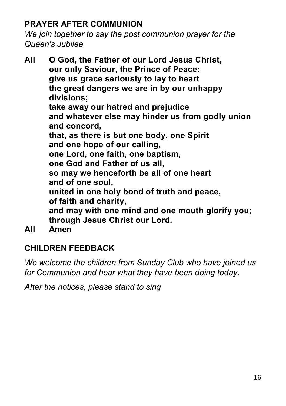## PRAYER AFTER COMMUNION

*We join together to say the post communion prayer for the Queen's Jubilee*

All O God, the Father of our Lord Jesus Christ, our only Saviour, the Prince of Peace: give us grace seriously to lay to heart the great dangers we are in by our unhappy divisions; take away our hatred and prejudice and whatever else may hinder us from godly union and concord, that, as there is but one body, one Spirit and one hope of our calling, one Lord, one faith, one baptism, one God and Father of us all, so may we henceforth be all of one heart and of one soul, united in one holy bond of truth and peace, of faith and charity, and may with one mind and one mouth glorify you; through Jesus Christ our Lord. All Amen

## CHILDREN FEEDBACK

*We welcome the children from Sunday Club who have joined us for Communion and hear what they have been doing today.*

*After the notices, please stand to sing*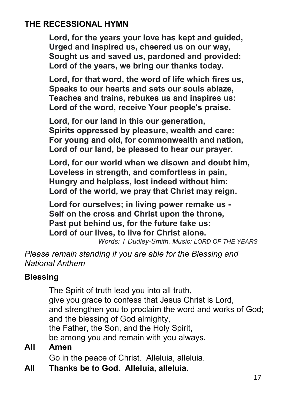#### THE RECESSIONAL HYMN

Lord, for the years your love has kept and guided, Urged and inspired us, cheered us on our way, Sought us and saved us, pardoned and provided: Lord of the years, we bring our thanks today.

Lord, for that word, the word of life which fires us, Speaks to our hearts and sets our souls ablaze, Teaches and trains, rebukes us and inspires us: Lord of the word, receive Your people's praise.

Lord, for our land in this our generation, Spirits oppressed by pleasure, wealth and care: For young and old, for commonwealth and nation, Lord of our land, be pleased to hear our prayer.

Lord, for our world when we disown and doubt him, Loveless in strength, and comfortless in pain, Hungry and helpless, lost indeed without him: Lord of the world, we pray that Christ may reign.

Lord for ourselves; in living power remake us - Self on the cross and Christ upon the throne, Past put behind us, for the future take us: Lord of our lives, to live for Christ alone.

*Words: T Dudley-Smith. Music: LORD OF THE YEARS*

*Please remain standing if you are able for the Blessing and National Anthem*

#### **Blessing**

The Spirit of truth lead you into all truth, give you grace to confess that Jesus Christ is Lord, and strengthen you to proclaim the word and works of God; and the blessing of God almighty, the Father, the Son, and the Holy Spirit,

be among you and remain with you always.

#### All Amen

Go in the peace of Christ. Alleluia, alleluia.

All Thanks be to God. Alleluia, alleluia.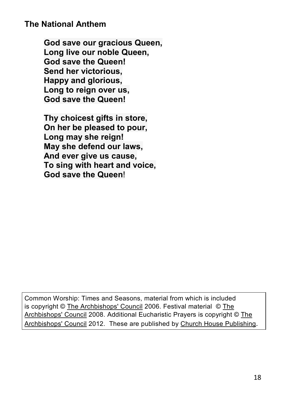#### The National Anthem

God save our gracious Queen. Long live our noble Queen, God save the Queen! Send her victorious, Happy and glorious, Long to reign over us. God save the Queen!

Thy choicest gifts in store, On her be pleased to pour, Long may she reign! May she defend our laws, And ever give us cause, To sing with heart and voice, God save the Queen!

Common Worship: Times and Seasons, material from which is included is copyright © The Archbishops' Council 2006. Festival material © The Archbishops' Council 2008. Additional Eucharistic Prayers is copyright © The Archbishops' Council 2012. These are published by Church House Publishing.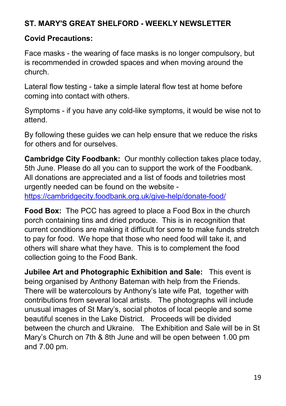#### ST. MARY'S GREAT SHELFORD - WEEKLY NEWSLETTER

#### Covid Precautions:

Face masks - the wearing of face masks is no longer compulsory, but is recommended in crowded spaces and when moving around the church.

Lateral flow testing - take a simple lateral flow test at home before coming into contact with others.

Symptoms - if you have any cold-like symptoms, it would be wise not to attend.

By following these guides we can help ensure that we reduce the risks for others and for ourselves.

Cambridge City Foodbank: Our monthly collection takes place today, 5th June. Please do all you can to support the work of the Foodbank. All donations are appreciated and a list of foods and toiletries most urgently needed can be found on the website https://cambridgecity.foodbank.org.uk/give-help/donate-food/

Food Box: The PCC has agreed to place a Food Box in the church porch containing tins and dried produce. This is in recognition that current conditions are making it difficult for some to make funds stretch to pay for food. We hope that those who need food will take it, and others will share what they have. This is to complement the food collection going to the Food Bank.

Jubilee Art and Photographic Exhibition and Sale: This event is being organised by Anthony Bateman with help from the Friends. There will be watercolours by Anthony's late wife Pat, together with contributions from several local artists. The photographs will include unusual images of St Mary's, social photos of local people and some beautiful scenes in the Lake District. Proceeds will be divided between the church and Ukraine. The Exhibition and Sale will be in St Mary's Church on 7th & 8th June and will be open between 1.00 pm and 7.00 pm.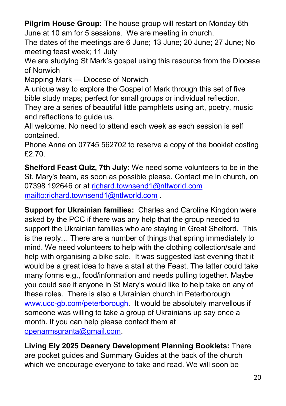Pilgrim House Group: The house group will restart on Monday 6th June at 10 am for 5 sessions. We are meeting in church.

The dates of the meetings are 6 June; 13 June; 20 June; 27 June; No meeting feast week; 11 July

We are studying St Mark's gospel using this resource from the Diocese of Norwich

Mapping Mark — Diocese of Norwich

A unique way to explore the Gospel of Mark through this set of five bible study maps; perfect for small groups or individual reflection.

They are a series of beautiful little pamphlets using art, poetry, music and reflections to guide us.

All welcome. No need to attend each week as each session is self contained.

Phone Anne on 07745 562702 to reserve a copy of the booklet costing £2.70.

Shelford Feast Quiz, 7th July: We need some volunteers to be in the St. Mary's team, as soon as possible please. Contact me in church, on 07398 192646 or at [richard.townsend1@ntlworld.com](mailto:richard.townsend1@ntlworld.com) <mailto:richard.townsend1@ntlworld.com> .

Support for Ukrainian families: Charles and Caroline Kingdon were asked by the PCC if there was any help that the group needed to support the Ukrainian families who are staying in Great Shelford. This is the reply… There are a number of things that spring immediately to mind. We need volunteers to help with the clothing collection/sale and help with organising a bike sale. It was suggested last evening that it would be a great idea to have a stall at the Feast. The latter could take many forms e.g., food/information and needs pulling together. Maybe you could see if anyone in St Mary's would like to help take on any of these roles. There is also a Ukrainian church in Peterborough [www.ucc-gb.com/peterborough](http://www.ucc-gb.com/peterborough). It would be absolutely marvellous if someone was willing to take a group of Ukrainians up say once a month. If you can help please contact them at [openarmsgranta@gmail.com](mailto:openarmsgranta@gmail.com).

Living Ely 2025 Deanery Development Planning Booklets: There are pocket guides and Summary Guides at the back of the church which we encourage everyone to take and read. We will soon be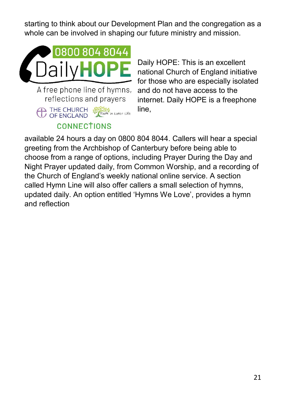starting to think about our Development Plan and the congregation as a whole can be involved in shaping our future ministry and mission.



A free phone line of hymns, reflections and prayers

THE CHURCH State in Later Life OF ENGLAND **CONNECTIONS** 

Daily HOPE: This is an excellent national Church of England initiative for those who are especially isolated and do not have access to the internet. Daily HOPE is a freephone line,

available 24 hours a day on 0800 804 8044. Callers will hear a special greeting from the Archbishop of Canterbury before being able to choose from a range of options, including Prayer During the Day and Night Prayer updated daily, from Common Worship, and a recording of the Church of England's weekly national online service. A section called Hymn Line will also offer callers a small selection of hymns, updated daily. An option entitled 'Hymns We Love', provides a hymn and reflection